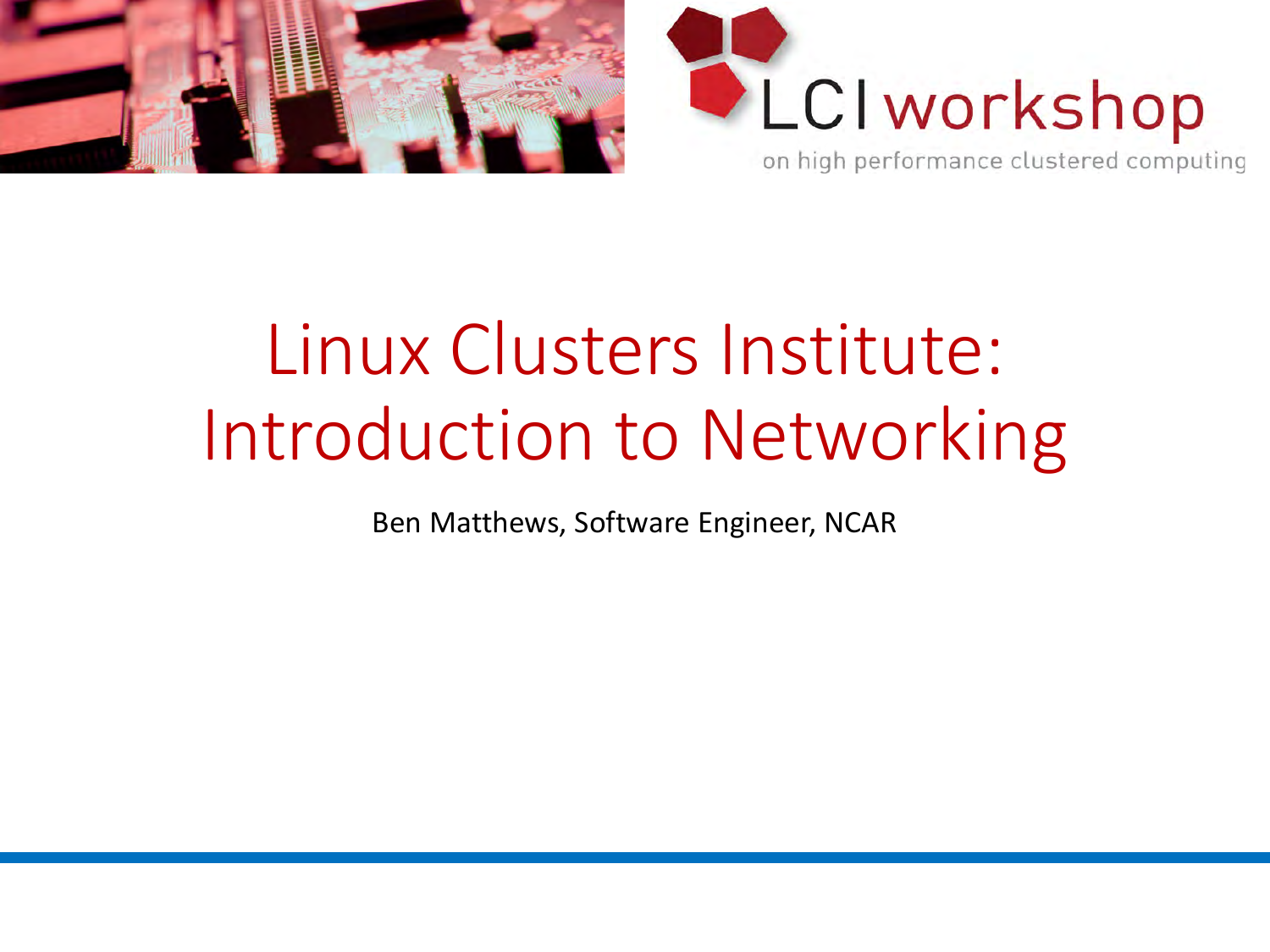



# Linux Clusters Institute: Introduction to Networking

Ben Matthews, Software Engineer, NCAR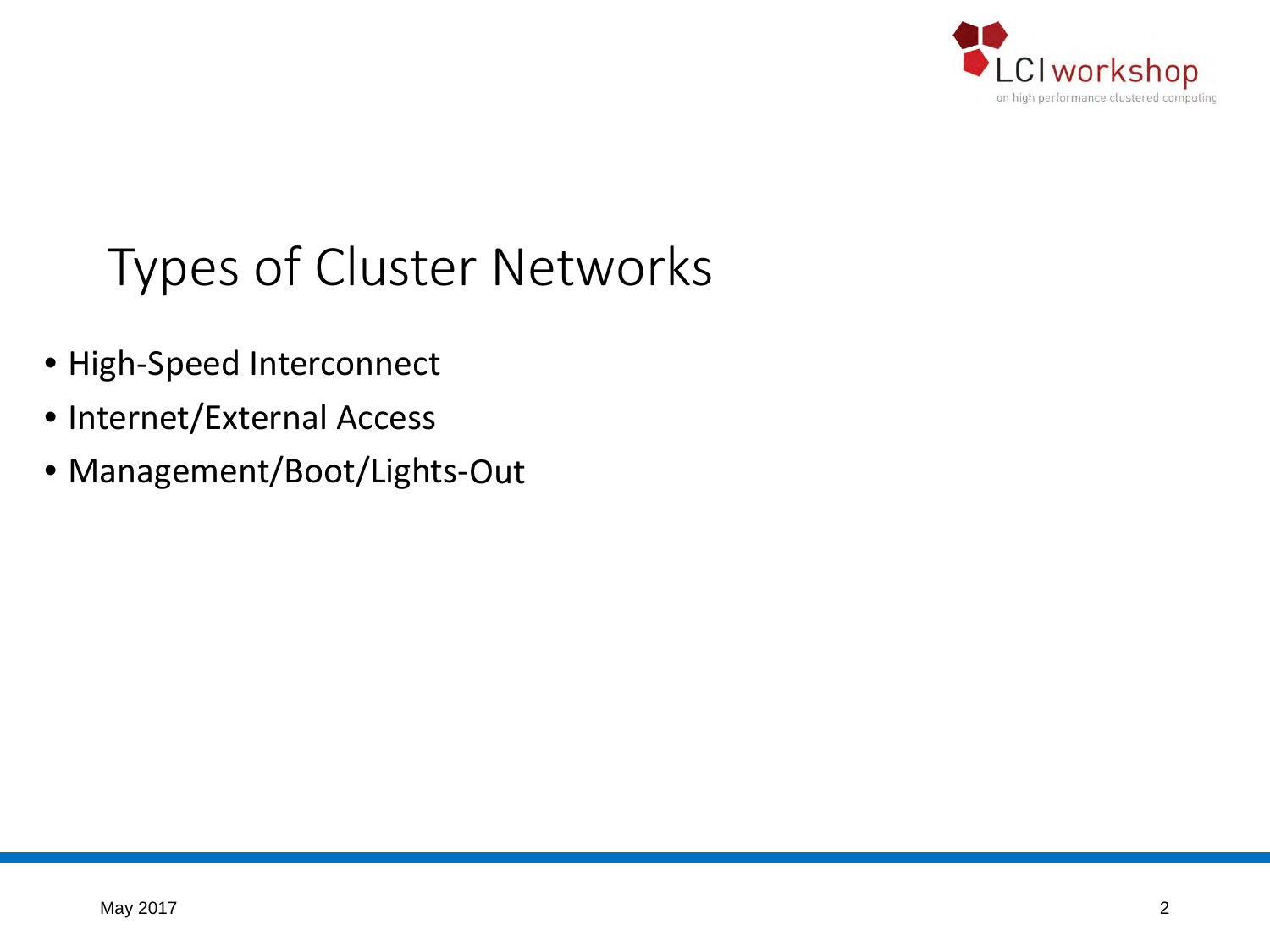

## Types of Cluster Networks

- High-Speed Interconnect
- Internet/External Access
- Management/Boot/Lights-Out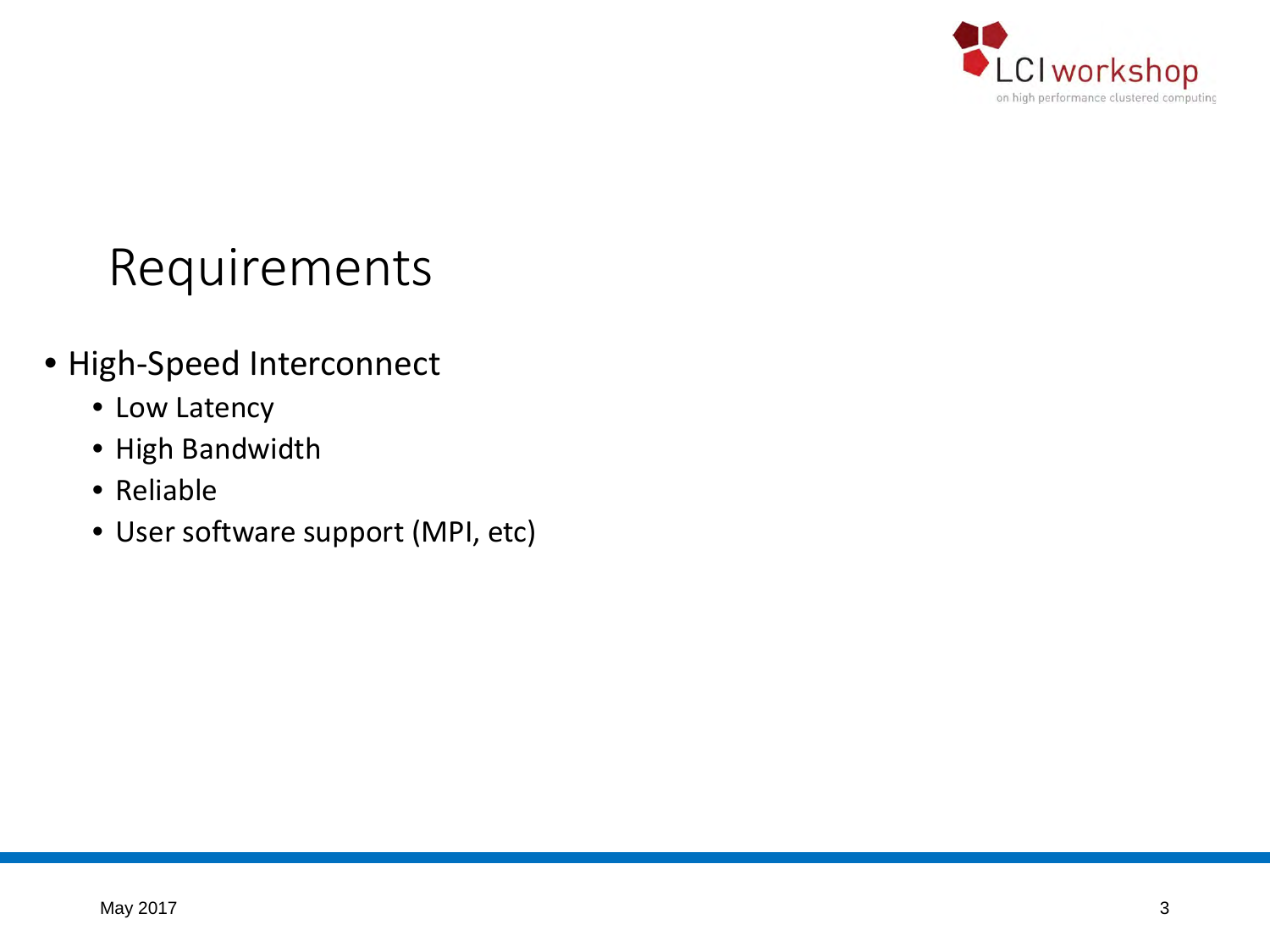

## Requirements

- High-Speed Interconnect
	- Low Latency
	- High Bandwidth
	- Reliable
	- User software support (MPI, etc)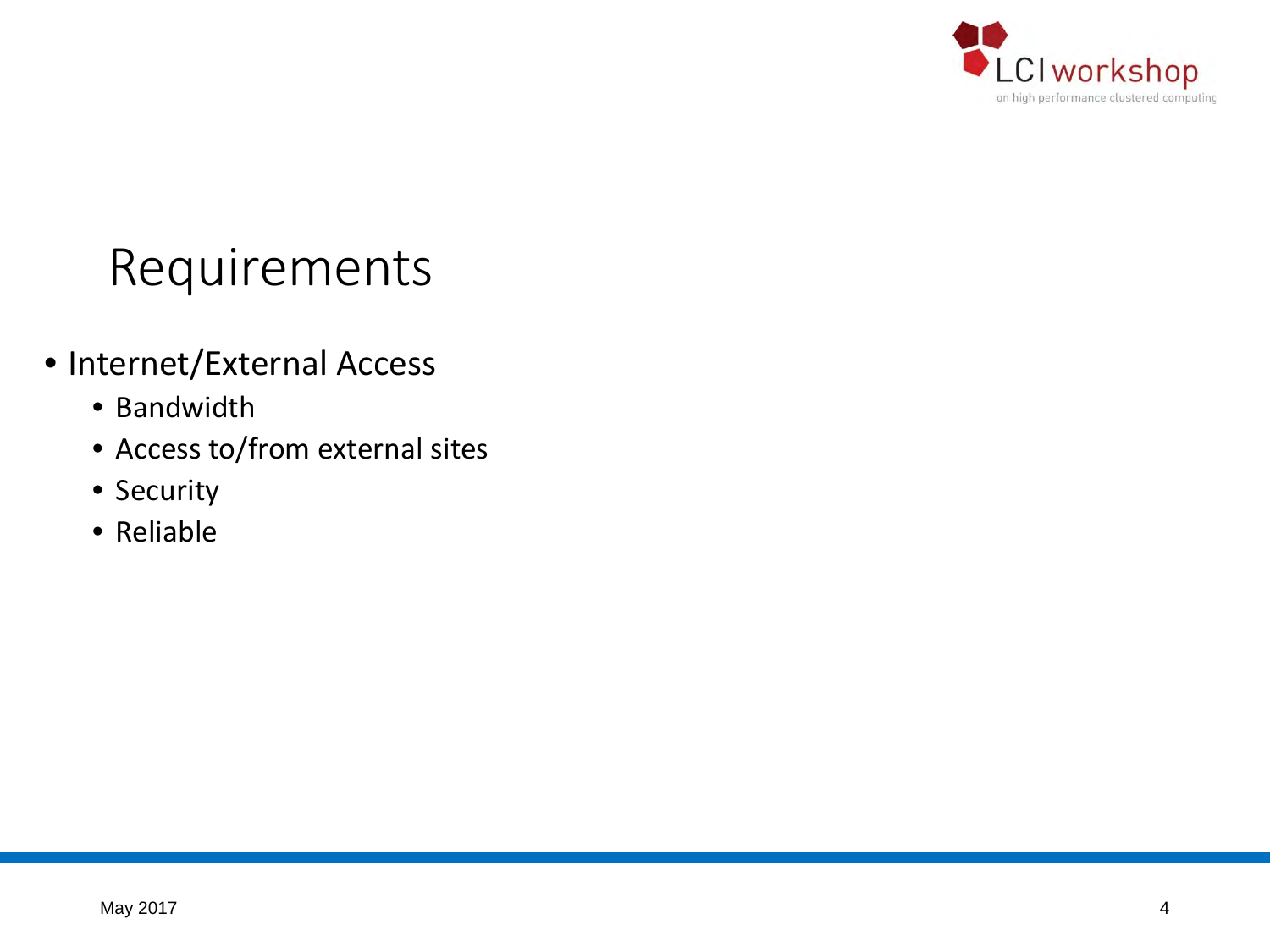

## Requirements

- Internet/External Access
	- Bandwidth
	- Access to/from external sites
	- Security
	- Reliable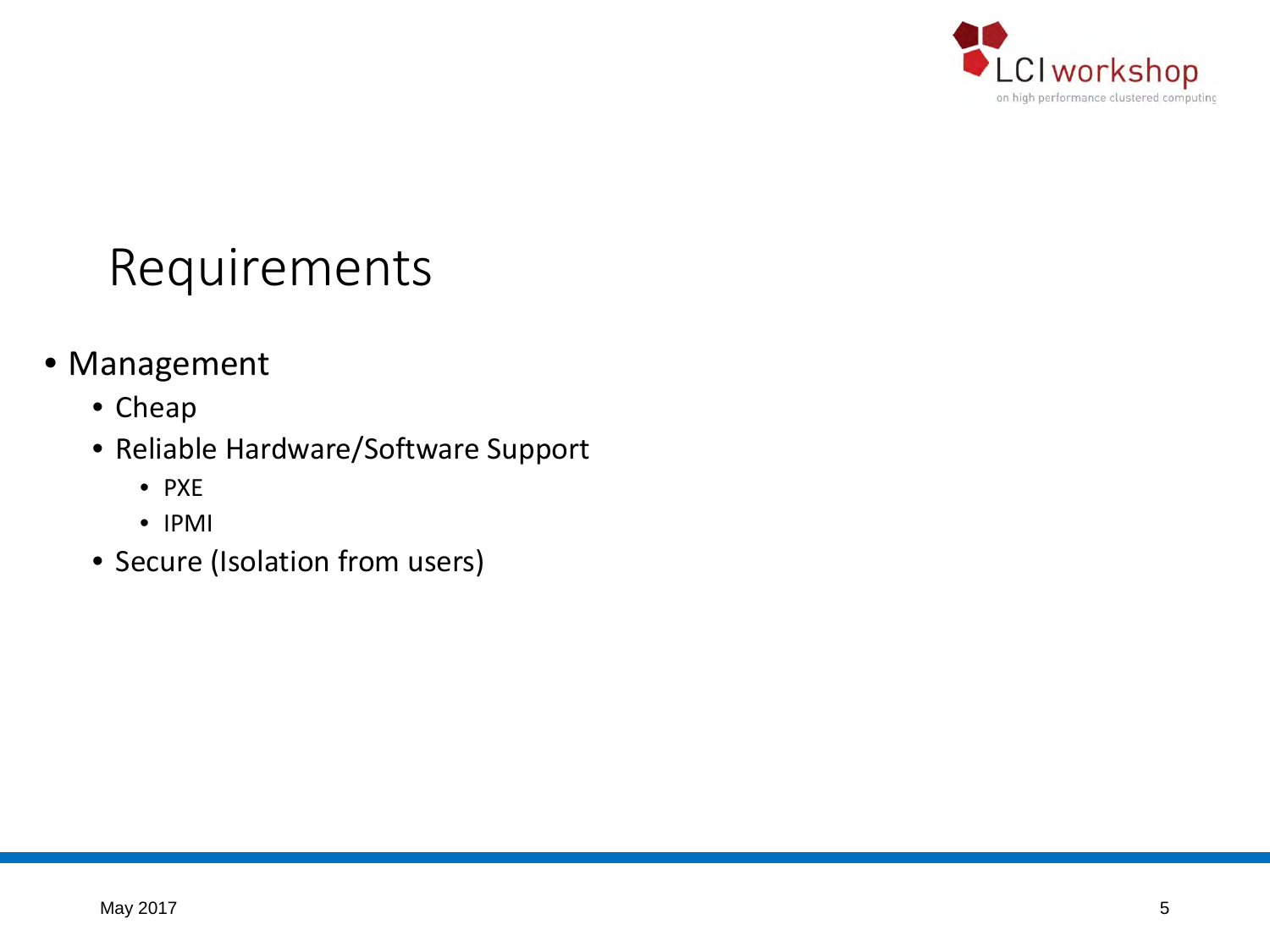

## Requirements

- Management
	- Cheap
	- Reliable Hardware/Software Support
		- PXE
		- IPMI
	- Secure (Isolation from users)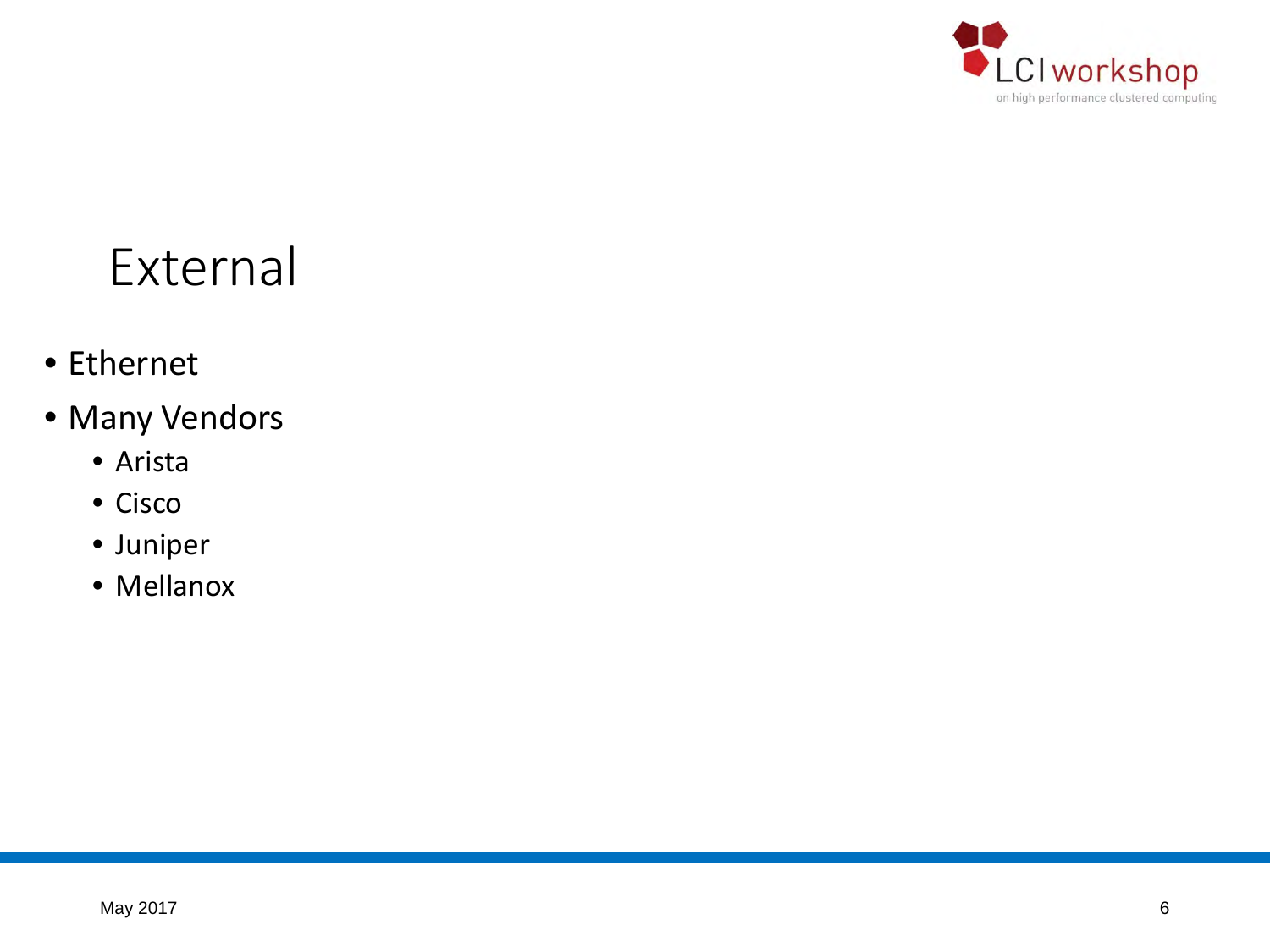

## External

- Ethernet
- Many Vendors
	- Arista
	- Cisco
	- Juniper
	- Mellanox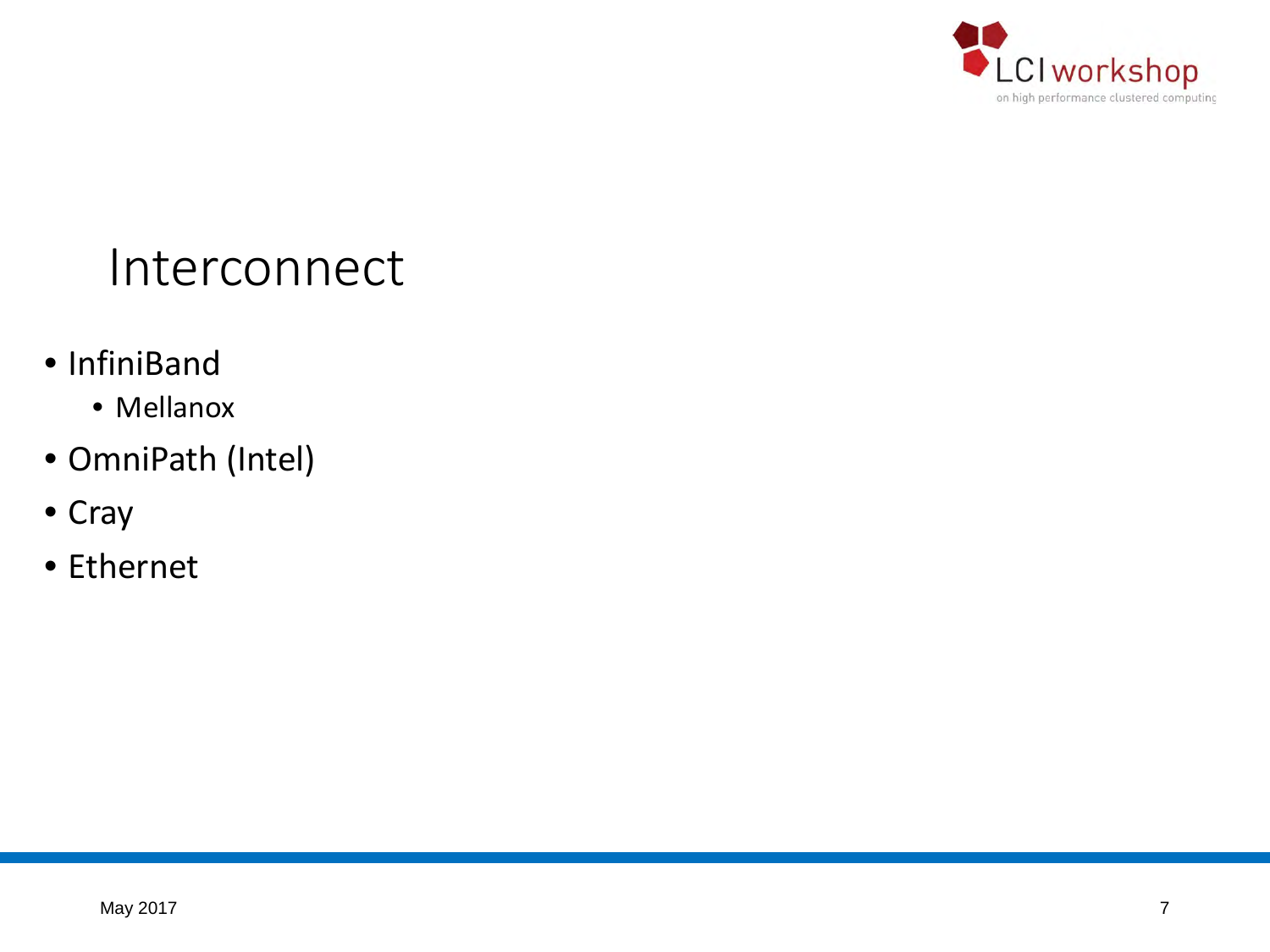

#### Interconnect

- InfiniBand
	- Mellanox
- OmniPath (Intel)
- Cray
- Ethernet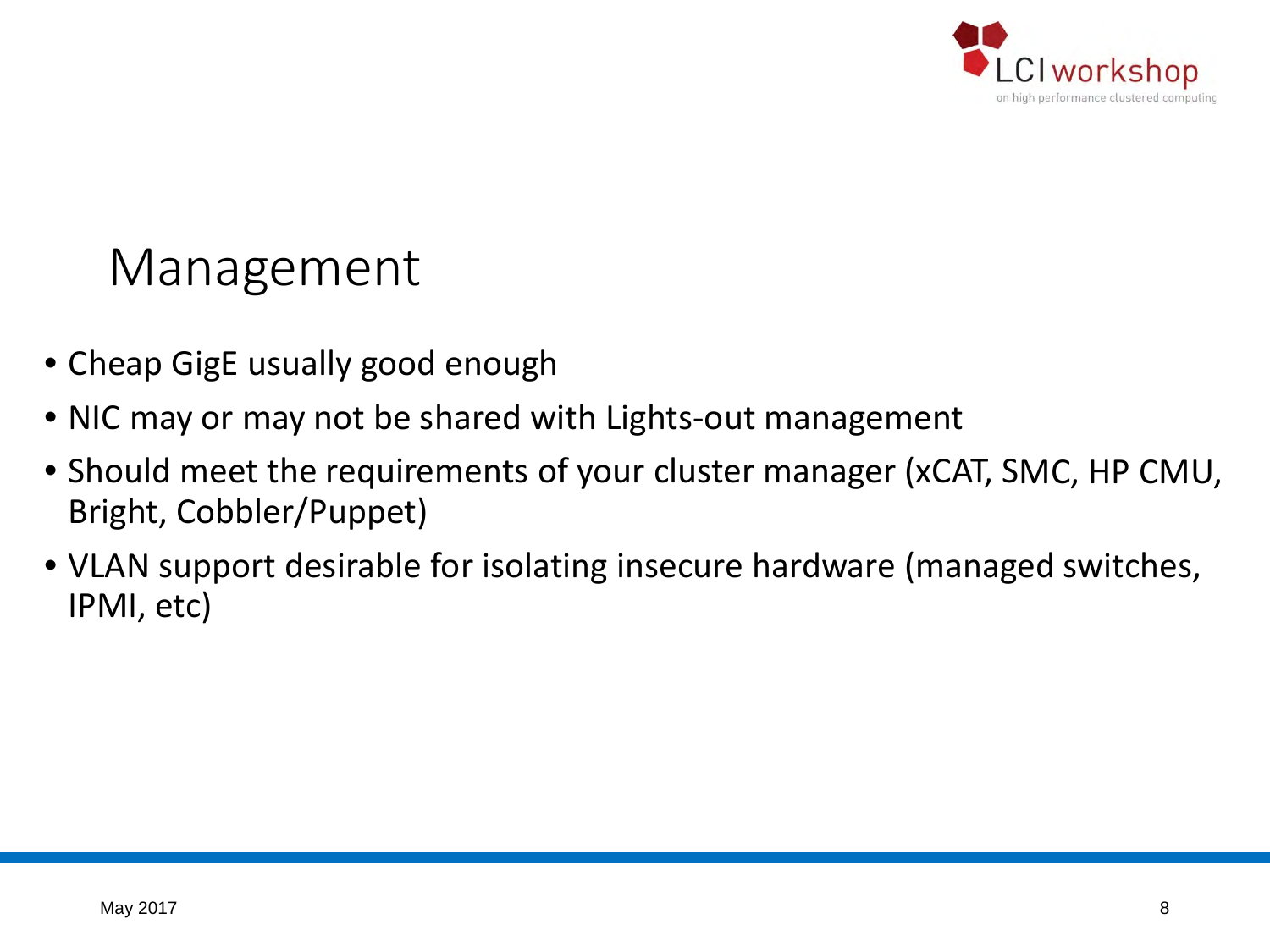

#### Management

- Cheap GigE usually good enough
- NIC may or may not be shared with Lights-out management
- Should meet the requirements of your cluster manager (xCAT, SMC, HP CMU, Bright, Cobbler/Puppet)
- VLAN support desirable for isolating insecure hardware (managed switches, IPMI, etc)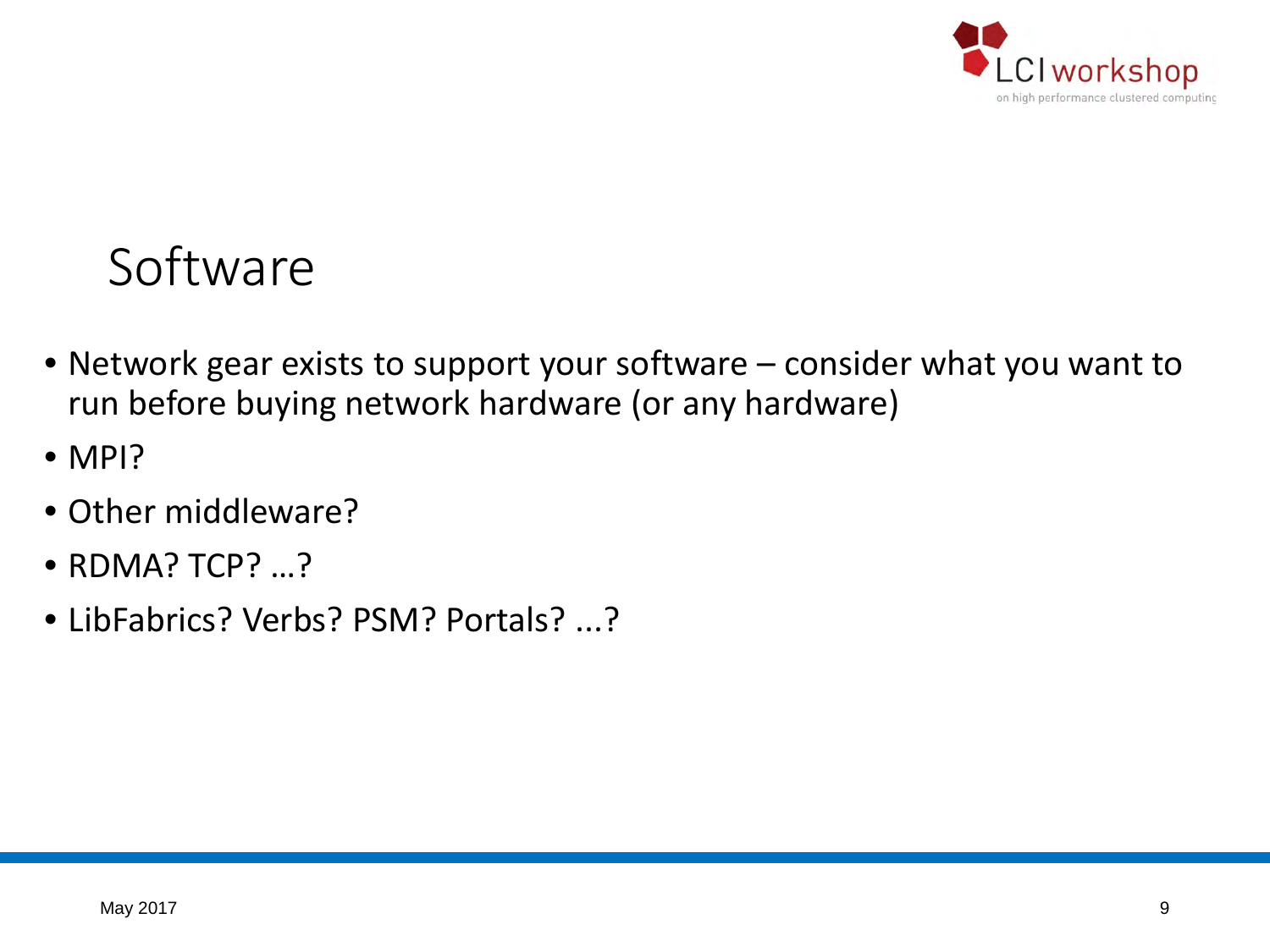

#### Software

- Network gear exists to support your software consider what you want to run before buying network hardware (or any hardware)
- MPI?
- Other middleware?
- RDMA? TCP? ...?
- LibFabrics? Verbs? PSM? Portals? ...?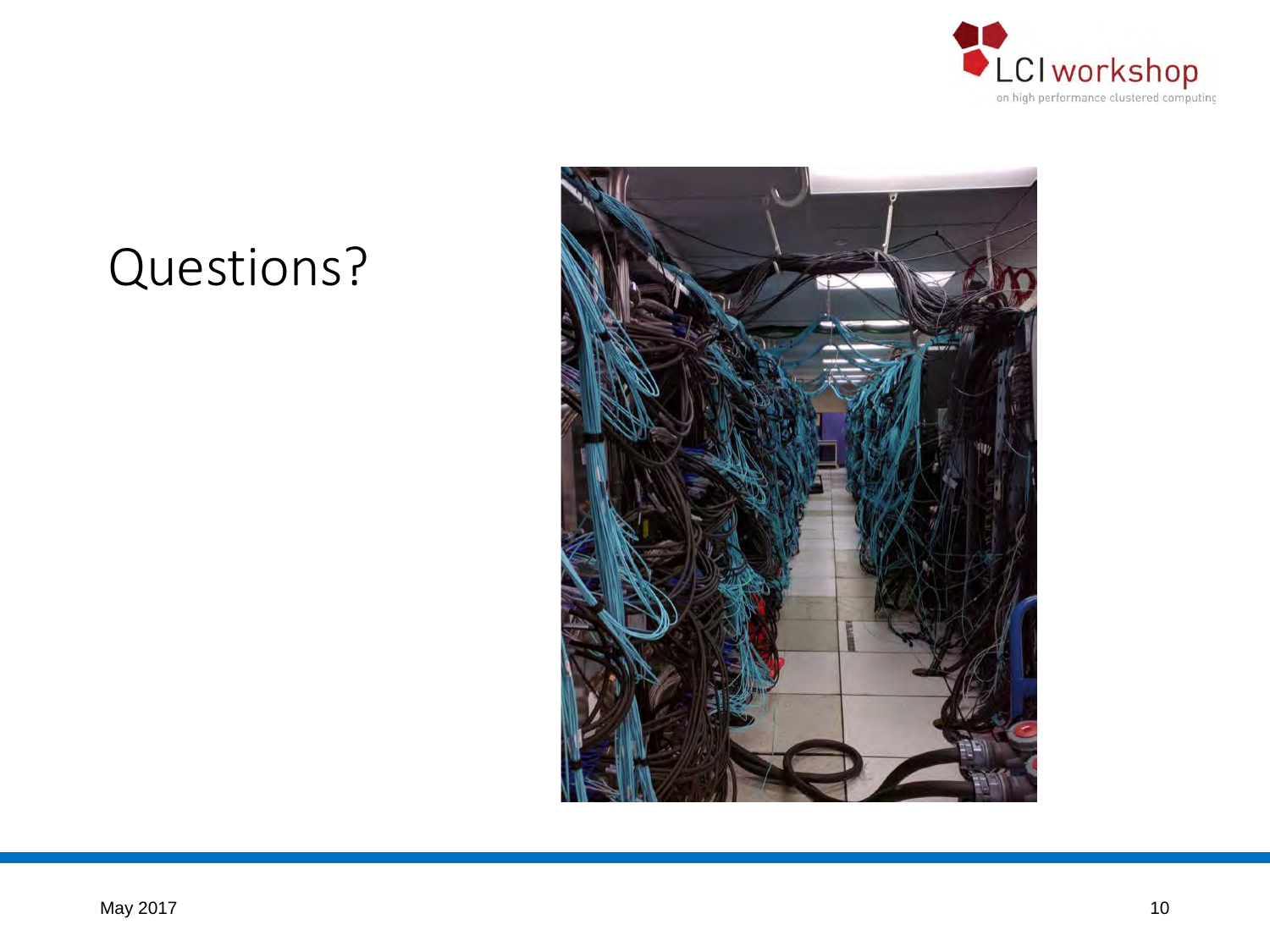

## Questions?